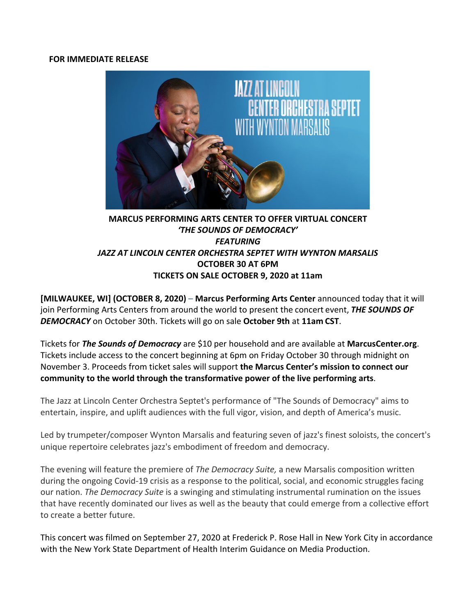#### **FOR IMMEDIATE RELEASE**



# **MARCUS PERFORMING ARTS CENTER TO OFFER VIRTUAL CONCERT 'THE SOUNDS OF DEMOCRACY'** *FEATURING JAZZ AT LINCOLN CENTER ORCHESTRA SEPTET WITH WYNTON MARSALIS* **OCTOBER 30 AT 6PM TICKETS ON SALE OCTOBER 9, 2020 at 11am**

**[MILWAUKEE, WI] (OCTOBER 8, 2020) – Marcus Performing Arts Center announced today that it will** join Performing Arts Centers from around the world to present the concert event, **THE SOUNDS OF** *DEMOCRACY* on October 30th. Tickets will go on sale **October 9th** at **11am CST**.

Tickets for **The Sounds of Democracy** are \$10 per household and are available at **MarcusCenter.org**. Tickets include access to the concert beginning at 6pm on Friday October 30 through midnight on November 3. Proceeds from ticket sales will support **the Marcus Center's mission to connect our** community to the world through the transformative power of the live performing arts.

The Jazz at Lincoln Center Orchestra Septet's performance of "The Sounds of Democracy" aims to entertain, inspire, and uplift audiences with the full vigor, vision, and depth of America's music.

Led by trumpeter/composer Wynton Marsalis and featuring seven of jazz's finest soloists, the concert's unique repertoire celebrates jazz's embodiment of freedom and democracy.

The evening will feature the premiere of *The Democracy Suite,* a new Marsalis composition written during the ongoing Covid-19 crisis as a response to the political, social, and economic struggles facing our nation. *The Democracy Suite* is a swinging and stimulating instrumental rumination on the issues that have recently dominated our lives as well as the beauty that could emerge from a collective effort to create a better future.

This concert was filmed on September 27, 2020 at Frederick P. Rose Hall in New York City in accordance with the New York State Department of Health Interim Guidance on Media Production.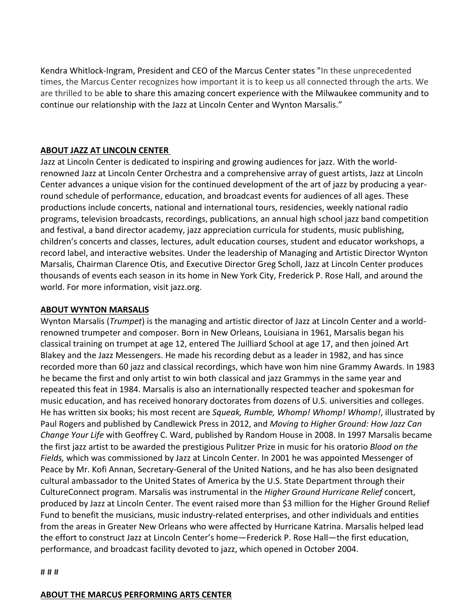Kendra Whitlock-Ingram, President and CEO of the Marcus Center states "In these unprecedented times, the Marcus Center recognizes how important it is to keep us all connected through the arts. We are thrilled to be able to share this amazing concert experience with the Milwaukee community and to continue our relationship with the Jazz at Lincoln Center and Wynton Marsalis."

## **ABOUT JAZZ AT LINCOLN CENTER**

Jazz at Lincoln Center is dedicated to inspiring and growing audiences for jazz. With the worldrenowned Jazz at Lincoln Center Orchestra and a comprehensive array of guest artists, Jazz at Lincoln Center advances a unique vision for the continued development of the art of jazz by producing a yearround schedule of performance, education, and broadcast events for audiences of all ages. These productions include concerts, national and international tours, residencies, weekly national radio programs, television broadcasts, recordings, publications, an annual high school jazz band competition and festival, a band director academy, jazz appreciation curricula for students, music publishing, children's concerts and classes, lectures, adult education courses, student and educator workshops, a record label, and interactive websites. Under the leadership of Managing and Artistic Director Wynton Marsalis, Chairman Clarence Otis, and Executive Director Greg Scholl, Jazz at Lincoln Center produces thousands of events each season in its home in New York City, Frederick P. Rose Hall, and around the world. For more information, visit jazz.org.

## **ABOUT WYNTON MARSALIS**

Wynton Marsalis (*Trumpet*) is the managing and artistic director of Jazz at Lincoln Center and a worldrenowned trumpeter and composer. Born in New Orleans, Louisiana in 1961, Marsalis began his classical training on trumpet at age 12, entered The Juilliard School at age 17, and then joined Art Blakey and the Jazz Messengers. He made his recording debut as a leader in 1982, and has since recorded more than 60 jazz and classical recordings, which have won him nine Grammy Awards. In 1983 he became the first and only artist to win both classical and jazz Grammys in the same year and repeated this feat in 1984. Marsalis is also an internationally respected teacher and spokesman for music education, and has received honorary doctorates from dozens of U.S. universities and colleges. He has written six books; his most recent are *Squeak, Rumble, Whomp! Whomp! Whomp!*, illustrated by Paul Rogers and published by Candlewick Press in 2012, and *Moving to Higher Ground: How Jazz Can Change Your Life* with Geoffrey C. Ward, published by Random House in 2008. In 1997 Marsalis became the first jazz artist to be awarded the prestigious Pulitzer Prize in music for his oratorio *Blood on the* Fields, which was commissioned by Jazz at Lincoln Center. In 2001 he was appointed Messenger of Peace by Mr. Kofi Annan, Secretary-General of the United Nations, and he has also been designated cultural ambassador to the United States of America by the U.S. State Department through their CultureConnect program. Marsalis was instrumental in the *Higher Ground Hurricane Relief* concert, produced by Jazz at Lincoln Center. The event raised more than \$3 million for the Higher Ground Relief Fund to benefit the musicians, music industry-related enterprises, and other individuals and entities from the areas in Greater New Orleans who were affected by Hurricane Katrina. Marsalis helped lead the effort to construct Jazz at Lincoln Center's home—Frederick P. Rose Hall—the first education, performance, and broadcast facility devoted to jazz, which opened in October 2004.

#### # # #

## **ABOUT THE MARCUS PERFORMING ARTS CENTER**